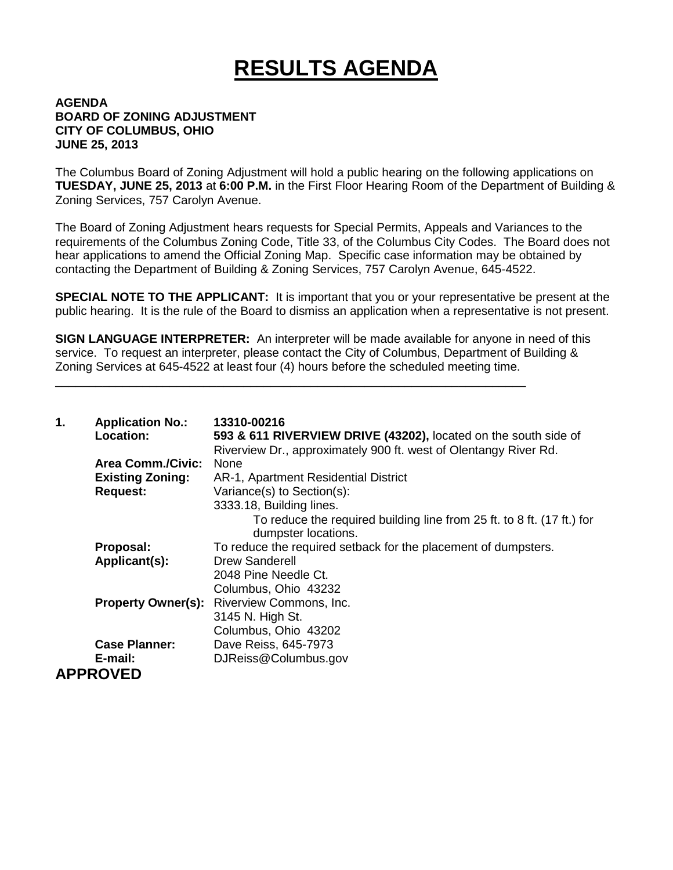## **RESULTS AGENDA**

## **AGENDA BOARD OF ZONING ADJUSTMENT CITY OF COLUMBUS, OHIO JUNE 25, 2013**

The Columbus Board of Zoning Adjustment will hold a public hearing on the following applications on **TUESDAY, JUNE 25, 2013** at **6:00 P.M.** in the First Floor Hearing Room of the Department of Building & Zoning Services, 757 Carolyn Avenue.

The Board of Zoning Adjustment hears requests for Special Permits, Appeals and Variances to the requirements of the Columbus Zoning Code, Title 33, of the Columbus City Codes. The Board does not hear applications to amend the Official Zoning Map. Specific case information may be obtained by contacting the Department of Building & Zoning Services, 757 Carolyn Avenue, 645-4522.

**SPECIAL NOTE TO THE APPLICANT:** It is important that you or your representative be present at the public hearing. It is the rule of the Board to dismiss an application when a representative is not present.

**SIGN LANGUAGE INTERPRETER:** An interpreter will be made available for anyone in need of this service. To request an interpreter, please contact the City of Columbus, Department of Building & Zoning Services at 645-4522 at least four (4) hours before the scheduled meeting time.

\_\_\_\_\_\_\_\_\_\_\_\_\_\_\_\_\_\_\_\_\_\_\_\_\_\_\_\_\_\_\_\_\_\_\_\_\_\_\_\_\_\_\_\_\_\_\_\_\_\_\_\_\_\_\_\_\_\_\_\_\_\_\_\_\_\_\_\_\_\_

| 1. | <b>Application No.:</b><br>Location: | 13310-00216<br>593 & 611 RIVERVIEW DRIVE (43202), located on the south side of<br>Riverview Dr., approximately 900 ft. west of Olentangy River Rd. |
|----|--------------------------------------|----------------------------------------------------------------------------------------------------------------------------------------------------|
|    | <b>Area Comm./Civic:</b>             | <b>None</b>                                                                                                                                        |
|    | <b>Existing Zoning:</b>              | AR-1, Apartment Residential District                                                                                                               |
|    | <b>Request:</b>                      | Variance(s) to Section(s):                                                                                                                         |
|    |                                      | 3333.18, Building lines.                                                                                                                           |
|    |                                      | To reduce the required building line from 25 ft. to 8 ft. (17 ft.) for<br>dumpster locations.                                                      |
|    | Proposal:                            | To reduce the required setback for the placement of dumpsters.                                                                                     |
|    | Applicant(s):                        | <b>Drew Sanderell</b>                                                                                                                              |
|    |                                      | 2048 Pine Needle Ct.                                                                                                                               |
|    |                                      | Columbus, Ohio 43232                                                                                                                               |
|    | <b>Property Owner(s):</b>            | Riverview Commons, Inc.                                                                                                                            |
|    |                                      | 3145 N. High St.                                                                                                                                   |
|    |                                      | Columbus, Ohio 43202                                                                                                                               |
|    | <b>Case Planner:</b>                 | Dave Reiss, 645-7973                                                                                                                               |
|    | E-mail:                              | DJReiss@Columbus.gov                                                                                                                               |
|    | <b>APPROVED</b>                      |                                                                                                                                                    |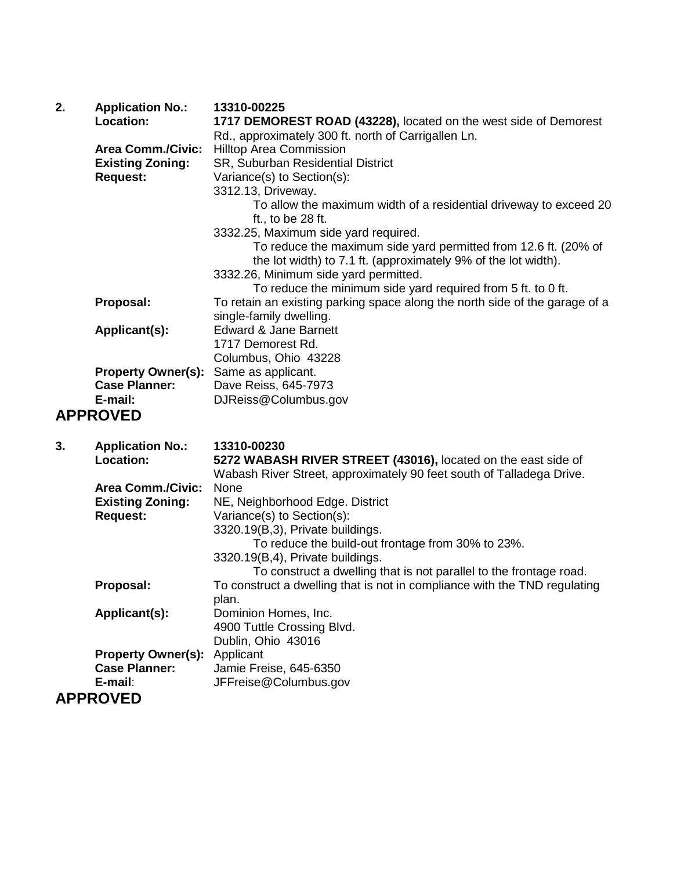| 2. | <b>Application No.:</b>                      | 13310-00225                                                                                                                       |
|----|----------------------------------------------|-----------------------------------------------------------------------------------------------------------------------------------|
|    | Location:                                    | 1717 DEMOREST ROAD (43228), located on the west side of Demorest                                                                  |
|    |                                              | Rd., approximately 300 ft. north of Carrigallen Ln.                                                                               |
|    | <b>Area Comm./Civic:</b>                     | <b>Hilltop Area Commission</b>                                                                                                    |
|    | <b>Existing Zoning:</b>                      | SR, Suburban Residential District                                                                                                 |
|    | <b>Request:</b>                              | Variance(s) to Section(s):                                                                                                        |
|    |                                              | 3312.13, Driveway.                                                                                                                |
|    |                                              | To allow the maximum width of a residential driveway to exceed 20<br>ft., to be $28$ ft.                                          |
|    |                                              | 3332.25, Maximum side yard required.                                                                                              |
|    |                                              | To reduce the maximum side yard permitted from 12.6 ft. (20% of<br>the lot width) to 7.1 ft. (approximately 9% of the lot width). |
|    |                                              | 3332.26, Minimum side yard permitted.                                                                                             |
|    |                                              | To reduce the minimum side yard required from 5 ft. to 0 ft.                                                                      |
|    | Proposal:                                    | To retain an existing parking space along the north side of the garage of a<br>single-family dwelling.                            |
|    | Applicant(s):                                | Edward & Jane Barnett                                                                                                             |
|    |                                              | 1717 Demorest Rd.                                                                                                                 |
|    |                                              | Columbus, Ohio 43228                                                                                                              |
|    | <b>Property Owner(s):</b> Same as applicant. |                                                                                                                                   |
|    | <b>Case Planner:</b>                         | Dave Reiss, 645-7973                                                                                                              |
|    | E-mail:                                      | DJReiss@Columbus.gov                                                                                                              |
|    | <b>APPROVED</b>                              |                                                                                                                                   |

**3. Application No.: 13310-00230**

| o. | Application No            | 1991U-UUZ3U                                                               |
|----|---------------------------|---------------------------------------------------------------------------|
|    | Location:                 | 5272 WABASH RIVER STREET (43016), located on the east side of             |
|    |                           | Wabash River Street, approximately 90 feet south of Talladega Drive.      |
|    | <b>Area Comm./Civic:</b>  | None                                                                      |
|    | <b>Existing Zoning:</b>   | NE, Neighborhood Edge. District                                           |
|    |                           |                                                                           |
|    | <b>Request:</b>           | Variance(s) to Section(s):                                                |
|    |                           | 3320.19(B,3), Private buildings.                                          |
|    |                           | To reduce the build-out frontage from 30% to 23%.                         |
|    |                           | 3320.19(B,4), Private buildings.                                          |
|    |                           | To construct a dwelling that is not parallel to the frontage road.        |
|    | Proposal:                 | To construct a dwelling that is not in compliance with the TND regulating |
|    |                           | plan.                                                                     |
|    | Applicant(s):             | Dominion Homes, Inc.                                                      |
|    |                           | 4900 Tuttle Crossing Blvd.                                                |
|    |                           | Dublin, Ohio 43016                                                        |
|    | <b>Property Owner(s):</b> | Applicant                                                                 |
|    | <b>Case Planner:</b>      | Jamie Freise, 645-6350                                                    |
|    | E-mail:                   | JFFreise@Columbus.gov                                                     |
|    | <b>APPROVED</b>           |                                                                           |
|    |                           |                                                                           |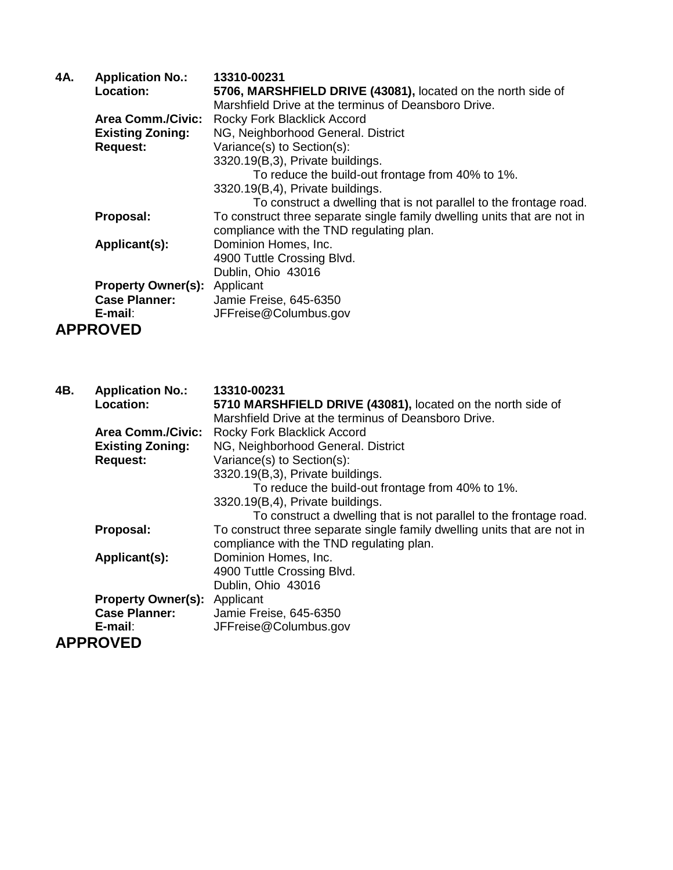| 4A. | <b>Application No.:</b>             | 13310-00231                                                              |
|-----|-------------------------------------|--------------------------------------------------------------------------|
|     | Location:                           | 5706, MARSHFIELD DRIVE (43081), located on the north side of             |
|     |                                     | Marshfield Drive at the terminus of Deansboro Drive.                     |
|     | <b>Area Comm./Civic:</b>            | Rocky Fork Blacklick Accord                                              |
|     | <b>Existing Zoning:</b>             | NG, Neighborhood General. District                                       |
|     | <b>Request:</b>                     | Variance(s) to Section(s):                                               |
|     |                                     | 3320.19(B,3), Private buildings.                                         |
|     |                                     | To reduce the build-out frontage from 40% to 1%.                         |
|     |                                     | 3320.19(B,4), Private buildings.                                         |
|     |                                     | To construct a dwelling that is not parallel to the frontage road.       |
|     | Proposal:                           | To construct three separate single family dwelling units that are not in |
|     |                                     | compliance with the TND regulating plan.                                 |
|     | Applicant(s):                       | Dominion Homes, Inc.                                                     |
|     |                                     | 4900 Tuttle Crossing Blvd.                                               |
|     |                                     | Dublin, Ohio 43016                                                       |
|     | <b>Property Owner(s):</b> Applicant |                                                                          |
|     | <b>Case Planner:</b>                | Jamie Freise, 645-6350                                                   |
|     | $E$ -mail:                          | JFFreise@Columbus.gov                                                    |
|     | <b>APPROVED</b>                     |                                                                          |
|     |                                     |                                                                          |
|     |                                     |                                                                          |
| 4B. | <b>Application No.:</b>             | 13310-00231                                                              |
|     |                                     |                                                                          |

| Location:                           | 5710 MARSHFIELD DRIVE (43081), located on the north side of              |
|-------------------------------------|--------------------------------------------------------------------------|
|                                     | Marshfield Drive at the terminus of Deansboro Drive.                     |
| <b>Area Comm./Civic:</b>            | Rocky Fork Blacklick Accord                                              |
| <b>Existing Zoning:</b>             | NG, Neighborhood General. District                                       |
| <b>Request:</b>                     | Variance(s) to Section(s):                                               |
|                                     | 3320.19(B,3), Private buildings.                                         |
|                                     | To reduce the build-out frontage from 40% to 1%.                         |
|                                     | 3320.19(B,4), Private buildings.                                         |
|                                     | To construct a dwelling that is not parallel to the frontage road.       |
| Proposal:                           | To construct three separate single family dwelling units that are not in |
|                                     | compliance with the TND regulating plan.                                 |
| Applicant(s):                       | Dominion Homes, Inc.                                                     |
|                                     | 4900 Tuttle Crossing Blvd.                                               |
|                                     | Dublin, Ohio 43016                                                       |
| <b>Property Owner(s):</b> Applicant |                                                                          |
| <b>Case Planner:</b>                | Jamie Freise, 645-6350                                                   |
| E-mail:                             | JFFreise@Columbus.gov                                                    |
| <b>APPROVED</b>                     |                                                                          |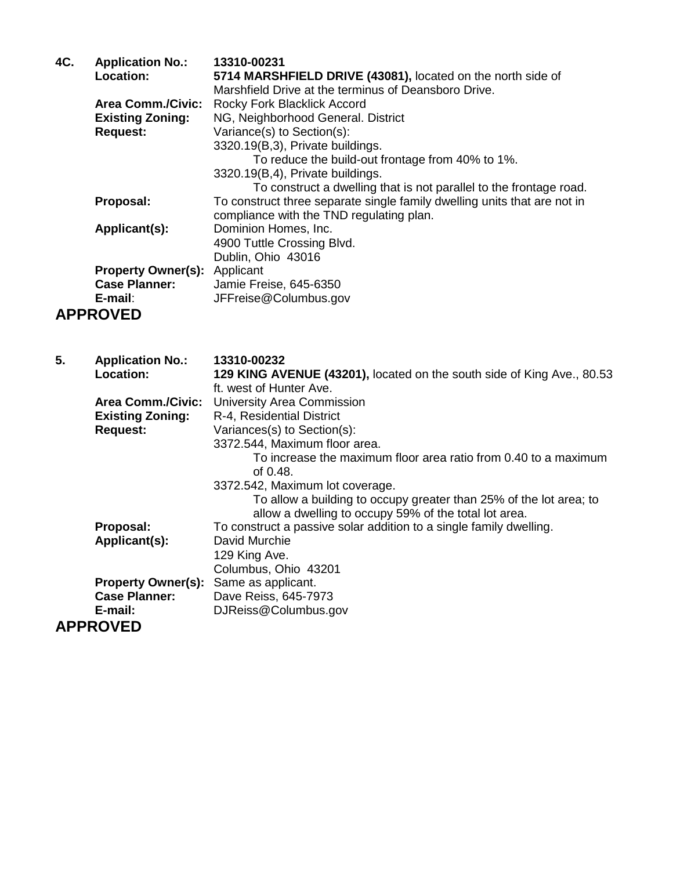| 4C. | <b>Application No.:</b>   | 13310-00231                                                              |
|-----|---------------------------|--------------------------------------------------------------------------|
|     | <b>Location:</b>          | 5714 MARSHFIELD DRIVE (43081), located on the north side of              |
|     |                           | Marshfield Drive at the terminus of Deansboro Drive.                     |
|     | <b>Area Comm./Civic:</b>  | Rocky Fork Blacklick Accord                                              |
|     | <b>Existing Zoning:</b>   | NG, Neighborhood General. District                                       |
|     | <b>Request:</b>           | Variance(s) to Section(s):                                               |
|     |                           | 3320.19(B,3), Private buildings.                                         |
|     |                           | To reduce the build-out frontage from 40% to 1%.                         |
|     |                           | 3320.19(B,4), Private buildings.                                         |
|     |                           | To construct a dwelling that is not parallel to the frontage road.       |
|     | Proposal:                 | To construct three separate single family dwelling units that are not in |
|     |                           | compliance with the TND regulating plan.                                 |
|     | Applicant(s):             | Dominion Homes, Inc.                                                     |
|     |                           | 4900 Tuttle Crossing Blvd.                                               |
|     |                           | Dublin, Ohio 43016                                                       |
|     | <b>Property Owner(s):</b> | Applicant                                                                |
|     | <b>Case Planner:</b>      | Jamie Freise, 645-6350                                                   |
|     | E-mail:                   | JFFreise@Columbus.gov                                                    |
|     | <b>APPROVED</b>           |                                                                          |

| 5. | <b>Application No.:</b><br><b>Location:</b> | 13310-00232<br>129 KING AVENUE (43201), located on the south side of King Ave., 80.53                                       |
|----|---------------------------------------------|-----------------------------------------------------------------------------------------------------------------------------|
|    |                                             | ft. west of Hunter Ave.                                                                                                     |
|    | <b>Area Comm./Civic:</b>                    | University Area Commission                                                                                                  |
|    | <b>Existing Zoning:</b>                     | R-4, Residential District                                                                                                   |
|    | <b>Request:</b>                             | Variances(s) to Section(s):                                                                                                 |
|    |                                             | 3372.544, Maximum floor area.                                                                                               |
|    |                                             | To increase the maximum floor area ratio from 0.40 to a maximum<br>of $0.48$ .                                              |
|    |                                             | 3372.542, Maximum lot coverage.                                                                                             |
|    |                                             | To allow a building to occupy greater than 25% of the lot area; to<br>allow a dwelling to occupy 59% of the total lot area. |
|    | Proposal:                                   | To construct a passive solar addition to a single family dwelling.                                                          |
|    | Applicant(s):                               | David Murchie                                                                                                               |
|    |                                             | 129 King Ave.                                                                                                               |
|    |                                             | Columbus, Ohio 43201                                                                                                        |
|    | <b>Property Owner(s):</b>                   | Same as applicant.                                                                                                          |
|    | <b>Case Planner:</b>                        | Dave Reiss, 645-7973                                                                                                        |
|    |                                             |                                                                                                                             |
|    | E-mail:                                     | DJReiss@Columbus.gov                                                                                                        |
|    | <b>APPROVED</b>                             |                                                                                                                             |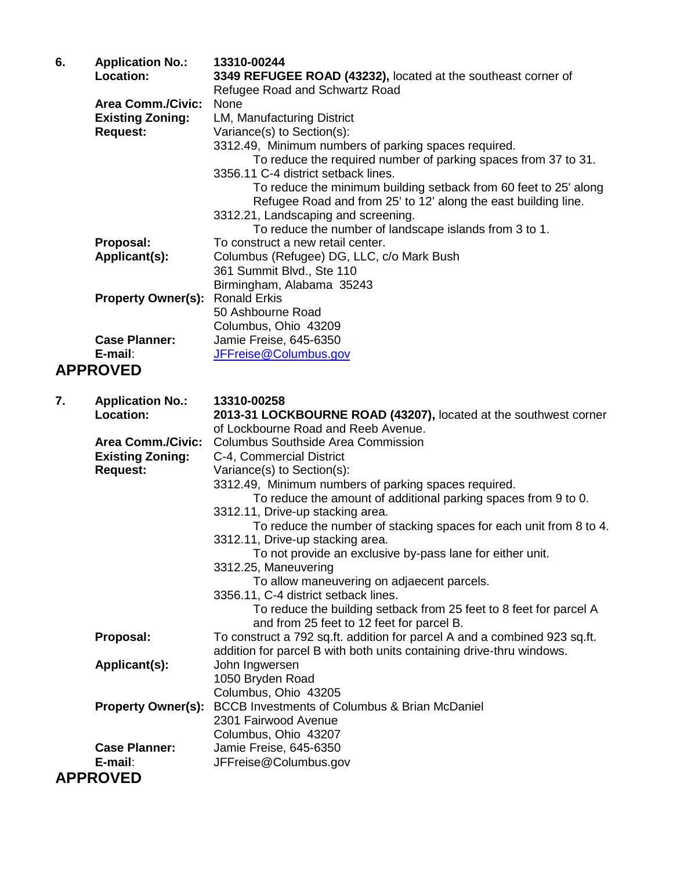| 6. | <b>Application No.:</b><br><b>Location:</b> | 13310-00244<br>3349 REFUGEE ROAD (43232), located at the southeast corner of<br>Refugee Road and Schwartz Road |
|----|---------------------------------------------|----------------------------------------------------------------------------------------------------------------|
|    | <b>Area Comm./Civic:</b>                    | None                                                                                                           |
|    | <b>Existing Zoning:</b>                     | LM, Manufacturing District                                                                                     |
|    | <b>Request:</b>                             | Variance(s) to Section(s):                                                                                     |
|    |                                             | 3312.49, Minimum numbers of parking spaces required.                                                           |
|    |                                             | To reduce the required number of parking spaces from 37 to 31.                                                 |
|    |                                             | 3356.11 C-4 district setback lines.                                                                            |
|    |                                             | To reduce the minimum building setback from 60 feet to 25' along                                               |
|    |                                             | Refugee Road and from 25' to 12' along the east building line.                                                 |
|    |                                             | 3312.21, Landscaping and screening.                                                                            |
|    |                                             | To reduce the number of landscape islands from 3 to 1.                                                         |
|    | Proposal:                                   | To construct a new retail center.                                                                              |
|    | Applicant(s):                               | Columbus (Refugee) DG, LLC, c/o Mark Bush                                                                      |
|    |                                             | 361 Summit Blvd., Ste 110                                                                                      |
|    |                                             | Birmingham, Alabama 35243                                                                                      |
|    | <b>Property Owner(s):</b>                   | <b>Ronald Erkis</b>                                                                                            |
|    |                                             | 50 Ashbourne Road                                                                                              |
|    | <b>Case Planner:</b>                        | Columbus, Ohio 43209                                                                                           |
|    | E-mail:                                     | Jamie Freise, 645-6350<br>JFFreise@Columbus.gov                                                                |
|    |                                             |                                                                                                                |
|    | <b>APPROVED</b>                             |                                                                                                                |
| 7. |                                             | 13310-00258                                                                                                    |
|    | <b>Application No.:</b><br><b>Location:</b> | 2013-31 LOCKBOURNE ROAD (43207), located at the southwest corner                                               |
|    |                                             | of Lockbourne Road and Reeb Avenue.                                                                            |
|    |                                             |                                                                                                                |
|    |                                             |                                                                                                                |
|    | <b>Area Comm./Civic:</b>                    | <b>Columbus Southside Area Commission</b>                                                                      |
|    | <b>Existing Zoning:</b>                     | C-4, Commercial District                                                                                       |
|    | <b>Request:</b>                             | Variance(s) to Section(s):                                                                                     |
|    |                                             | 3312.49, Minimum numbers of parking spaces required.                                                           |
|    |                                             | To reduce the amount of additional parking spaces from 9 to 0.                                                 |
|    |                                             | 3312.11, Drive-up stacking area.                                                                               |
|    |                                             | To reduce the number of stacking spaces for each unit from 8 to 4.                                             |
|    |                                             | 3312.11, Drive-up stacking area.                                                                               |
|    |                                             | To not provide an exclusive by-pass lane for either unit.<br>3312.25, Maneuvering                              |
|    |                                             |                                                                                                                |
|    |                                             | To allow maneuvering on adjaecent parcels.<br>3356.11, C-4 district setback lines.                             |
|    |                                             | To reduce the building setback from 25 feet to 8 feet for parcel A                                             |
|    |                                             | and from 25 feet to 12 feet for parcel B.                                                                      |
|    | Proposal:                                   | To construct a 792 sq.ft. addition for parcel A and a combined 923 sq.ft.                                      |
|    |                                             | addition for parcel B with both units containing drive-thru windows.                                           |
|    | Applicant(s):                               | John Ingwersen                                                                                                 |
|    |                                             | 1050 Bryden Road                                                                                               |
|    |                                             | Columbus, Ohio 43205                                                                                           |
|    | <b>Property Owner(s):</b>                   | <b>BCCB Investments of Columbus &amp; Brian McDaniel</b>                                                       |
|    |                                             | 2301 Fairwood Avenue                                                                                           |
|    |                                             | Columbus, Ohio 43207                                                                                           |
|    | <b>Case Planner:</b>                        | Jamie Freise, 645-6350                                                                                         |
|    | E-mail:<br><b>APPROVED</b>                  | JFFreise@Columbus.gov                                                                                          |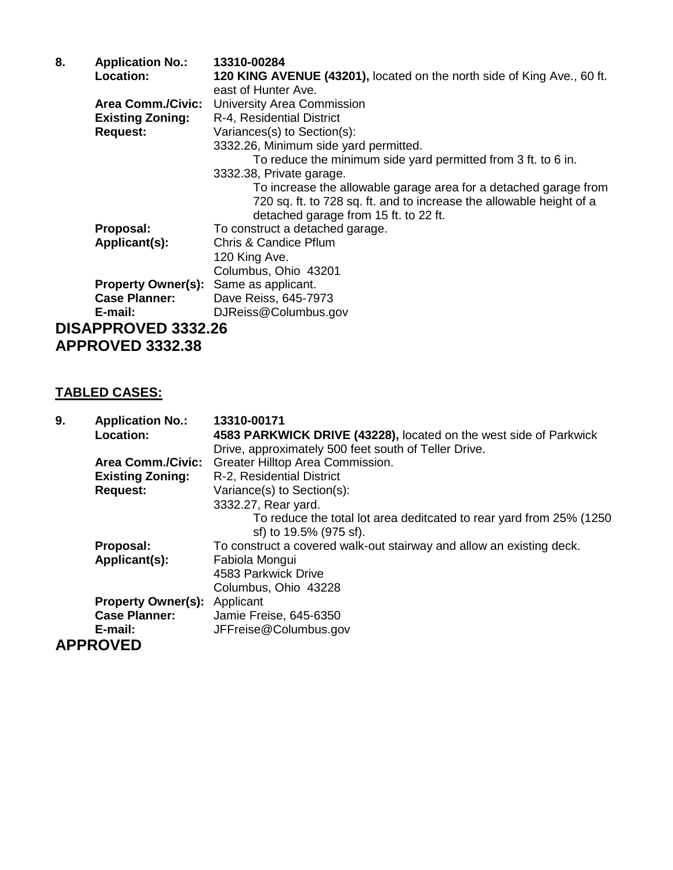| <b>Application No.:</b>                      | 13310-00284                                                             |
|----------------------------------------------|-------------------------------------------------------------------------|
| Location:                                    | 120 KING AVENUE (43201), located on the north side of King Ave., 60 ft. |
|                                              | east of Hunter Ave.                                                     |
| <b>Area Comm./Civic:</b>                     | <b>University Area Commission</b>                                       |
| <b>Existing Zoning:</b>                      | R-4, Residential District                                               |
| <b>Request:</b>                              | Variances(s) to Section(s):                                             |
|                                              | 3332.26, Minimum side yard permitted.                                   |
|                                              | To reduce the minimum side yard permitted from 3 ft. to 6 in.           |
|                                              | 3332.38, Private garage.                                                |
|                                              | To increase the allowable garage area for a detached garage from        |
|                                              | 720 sq. ft. to 728 sq. ft. and to increase the allowable height of a    |
|                                              | detached garage from 15 ft. to 22 ft.                                   |
| Proposal:                                    | To construct a detached garage.                                         |
| Applicant(s):                                | <b>Chris &amp; Candice Pflum</b>                                        |
|                                              | 120 King Ave.                                                           |
|                                              | Columbus, Ohio 43201                                                    |
| <b>Property Owner(s):</b> Same as applicant. |                                                                         |
| <b>Case Planner:</b>                         | Dave Reiss, 645-7973                                                    |
| E-mail:                                      | DJReiss@Columbus.gov                                                    |
| <b>DISAPPROVED 3332.26</b>                   |                                                                         |
|                                              |                                                                         |

**APPROVED 3332.38**

## **TABLED CASES:**

| 9. | <b>Application No.:</b><br>Location: | 13310-00171<br>4583 PARKWICK DRIVE (43228), located on the west side of Parkwick               |
|----|--------------------------------------|------------------------------------------------------------------------------------------------|
|    |                                      | Drive, approximately 500 feet south of Teller Drive.                                           |
|    | <b>Area Comm./Civic:</b>             | Greater Hilltop Area Commission.                                                               |
|    | <b>Existing Zoning:</b>              | R-2, Residential District                                                                      |
|    | <b>Request:</b>                      | Variance(s) to Section(s):                                                                     |
|    |                                      | 3332.27, Rear yard.                                                                            |
|    |                                      | To reduce the total lot area deditcated to rear yard from 25% (1250)<br>sf) to 19.5% (975 sf). |
|    | Proposal:                            | To construct a covered walk-out stairway and allow an existing deck.                           |
|    | Applicant(s):                        | Fabiola Mongui                                                                                 |
|    |                                      | 4583 Parkwick Drive                                                                            |
|    |                                      | Columbus, Ohio 43228                                                                           |
|    | <b>Property Owner(s):</b> Applicant  |                                                                                                |
|    | <b>Case Planner:</b>                 | Jamie Freise, 645-6350                                                                         |
|    | E-mail:                              | JFFreise@Columbus.gov                                                                          |
|    | <b>APPROVED</b>                      |                                                                                                |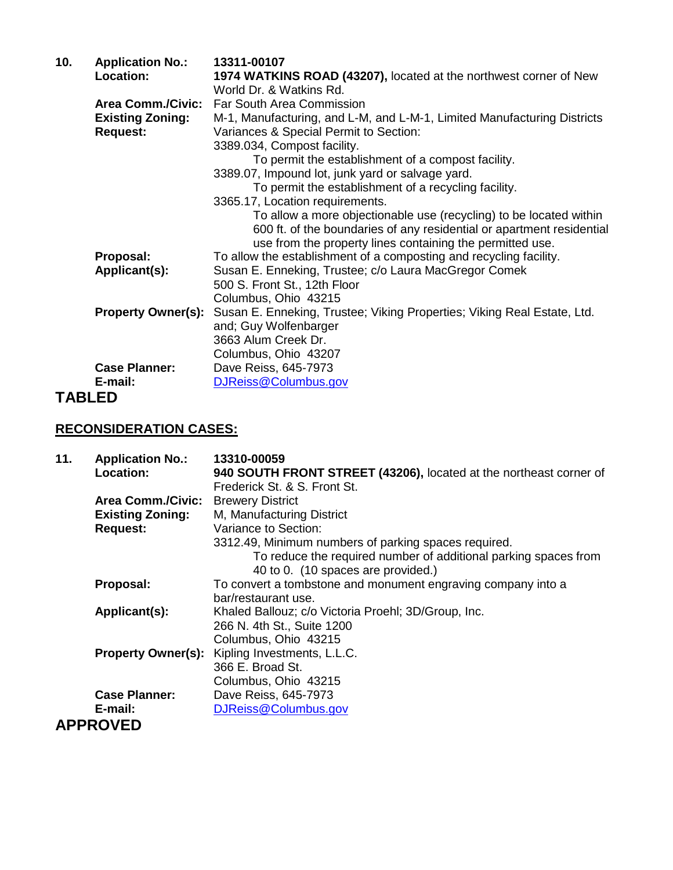| 10.           | <b>Application No.:</b>   | 13311-00107                                                                                  |
|---------------|---------------------------|----------------------------------------------------------------------------------------------|
|               | Location:                 | 1974 WATKINS ROAD (43207), located at the northwest corner of New<br>World Dr. & Watkins Rd. |
|               | <b>Area Comm./Civic:</b>  | Far South Area Commission                                                                    |
|               | <b>Existing Zoning:</b>   | M-1, Manufacturing, and L-M, and L-M-1, Limited Manufacturing Districts                      |
|               | <b>Request:</b>           | Variances & Special Permit to Section:                                                       |
|               |                           | 3389.034, Compost facility.                                                                  |
|               |                           | To permit the establishment of a compost facility.                                           |
|               |                           | 3389.07, Impound lot, junk yard or salvage yard.                                             |
|               |                           | To permit the establishment of a recycling facility.                                         |
|               |                           | 3365.17, Location requirements.                                                              |
|               |                           | To allow a more objectionable use (recycling) to be located within                           |
|               |                           | 600 ft. of the boundaries of any residential or apartment residential                        |
|               |                           | use from the property lines containing the permitted use.                                    |
|               | Proposal:                 | To allow the establishment of a composting and recycling facility.                           |
|               | Applicant(s):             | Susan E. Enneking, Trustee; c/o Laura MacGregor Comek                                        |
|               |                           | 500 S. Front St., 12th Floor                                                                 |
|               |                           | Columbus, Ohio 43215                                                                         |
|               | <b>Property Owner(s):</b> | Susan E. Enneking, Trustee; Viking Properties; Viking Real Estate, Ltd.                      |
|               |                           | and; Guy Wolfenbarger                                                                        |
|               |                           | 3663 Alum Creek Dr.                                                                          |
|               |                           | Columbus, Ohio 43207                                                                         |
|               | <b>Case Planner:</b>      | Dave Reiss, 645-7973                                                                         |
|               | E-mail:                   | DJReiss@Columbus.gov                                                                         |
| <b>TABLED</b> |                           |                                                                                              |

## **RECONSIDERATION CASES:**

| 11. | <b>Application No.:</b>   | 13310-00059                                                                                           |
|-----|---------------------------|-------------------------------------------------------------------------------------------------------|
|     | Location:                 | 940 SOUTH FRONT STREET (43206), located at the northeast corner of                                    |
|     |                           | Frederick St. & S. Front St.                                                                          |
|     | <b>Area Comm./Civic:</b>  | <b>Brewery District</b>                                                                               |
|     | <b>Existing Zoning:</b>   | M, Manufacturing District                                                                             |
|     | <b>Request:</b>           | Variance to Section:                                                                                  |
|     |                           | 3312.49, Minimum numbers of parking spaces required.                                                  |
|     |                           | To reduce the required number of additional parking spaces from<br>40 to 0. (10 spaces are provided.) |
|     | Proposal:                 | To convert a tombstone and monument engraving company into a                                          |
|     |                           | bar/restaurant use.                                                                                   |
|     | Applicant(s):             | Khaled Ballouz; c/o Victoria Proehl; 3D/Group, Inc.                                                   |
|     |                           | 266 N. 4th St., Suite 1200                                                                            |
|     |                           | Columbus, Ohio 43215                                                                                  |
|     | <b>Property Owner(s):</b> | Kipling Investments, L.L.C.                                                                           |
|     |                           | 366 E. Broad St.                                                                                      |
|     |                           | Columbus, Ohio 43215                                                                                  |
|     | <b>Case Planner:</b>      | Dave Reiss, 645-7973                                                                                  |
|     | E-mail:                   | DJReiss@Columbus.gov                                                                                  |
|     | <b>APPROVED</b>           |                                                                                                       |